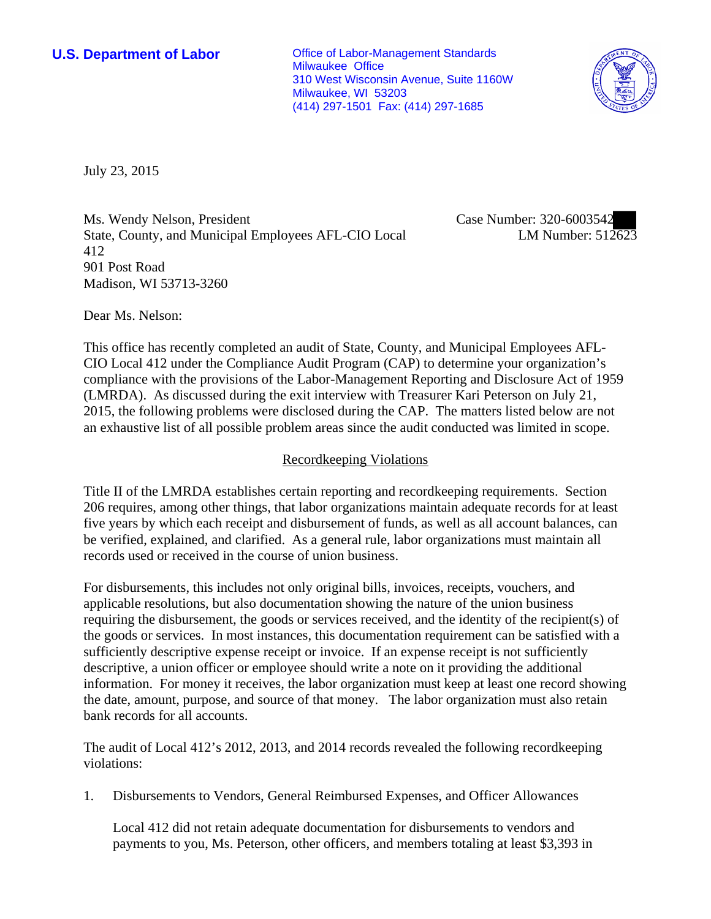**U.S. Department of Labor Conservative Conservative Conservative Conservative Conservative Conservative Conservative Conservative Conservative Conservative Conservative Conservative Conservative Conservative Conservative** Milwaukee Office 310 West Wisconsin Avenue, Suite 1160W Milwaukee, WI 53203 (414) 297-1501 Fax: (414) 297-1685



July 23, 2015

Ms. Wendy Nelson, President State, County, and Municipal Employees AFL-CIO Local 412 901 Post Road Madison, WI 53713-3260

Case Number: 320-6003542 LM Number: 512623

Dear Ms. Nelson:

This office has recently completed an audit of State, County, and Municipal Employees AFL-CIO Local 412 under the Compliance Audit Program (CAP) to determine your organization's compliance with the provisions of the Labor-Management Reporting and Disclosure Act of 1959 (LMRDA). As discussed during the exit interview with Treasurer Kari Peterson on July 21, 2015, the following problems were disclosed during the CAP. The matters listed below are not an exhaustive list of all possible problem areas since the audit conducted was limited in scope.

# Recordkeeping Violations

Title II of the LMRDA establishes certain reporting and recordkeeping requirements. Section 206 requires, among other things, that labor organizations maintain adequate records for at least five years by which each receipt and disbursement of funds, as well as all account balances, can be verified, explained, and clarified. As a general rule, labor organizations must maintain all records used or received in the course of union business.

For disbursements, this includes not only original bills, invoices, receipts, vouchers, and applicable resolutions, but also documentation showing the nature of the union business requiring the disbursement, the goods or services received, and the identity of the recipient(s) of the goods or services. In most instances, this documentation requirement can be satisfied with a sufficiently descriptive expense receipt or invoice. If an expense receipt is not sufficiently descriptive, a union officer or employee should write a note on it providing the additional information. For money it receives, the labor organization must keep at least one record showing the date, amount, purpose, and source of that money. The labor organization must also retain bank records for all accounts.

The audit of Local 412's 2012, 2013, and 2014 records revealed the following recordkeeping violations:

1. Disbursements to Vendors, General Reimbursed Expenses, and Officer Allowances

Local 412 did not retain adequate documentation for disbursements to vendors and payments to you, Ms. Peterson, other officers, and members totaling at least \$3,393 in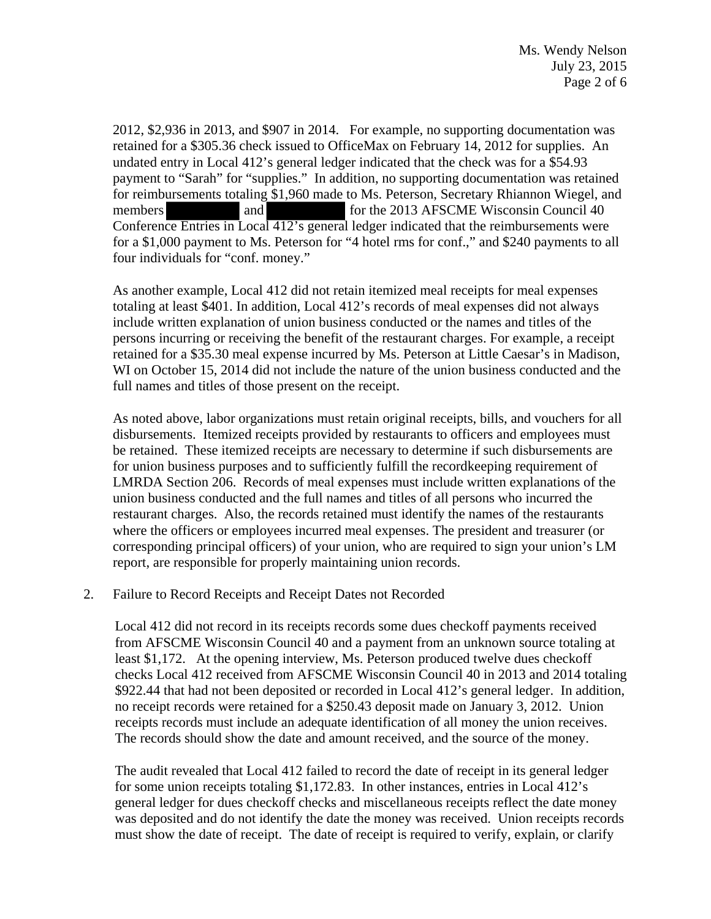2012, \$2,936 in 2013, and \$907 in 2014. For example, no supporting documentation was retained for a \$305.36 check issued to OfficeMax on February 14, 2012 for supplies. An undated entry in Local 412's general ledger indicated that the check was for a \$54.93 payment to "Sarah" for "supplies." In addition, no supporting documentation was retained for reimbursements totaling \$1,960 made to Ms. Peterson, Secretary Rhiannon Wiegel, and members and for the 2013 AFSCME Wisconsin Council 40 Conference Entries in Local 412's general ledger indicated that the reimbursements were for a \$1,000 payment to Ms. Peterson for "4 hotel rms for conf.," and \$240 payments to all four individuals for "conf. money."

As another example, Local 412 did not retain itemized meal receipts for meal expenses totaling at least \$401. In addition, Local 412's records of meal expenses did not always include written explanation of union business conducted or the names and titles of the persons incurring or receiving the benefit of the restaurant charges. For example, a receipt retained for a \$35.30 meal expense incurred by Ms. Peterson at Little Caesar's in Madison, WI on October 15, 2014 did not include the nature of the union business conducted and the full names and titles of those present on the receipt.

As noted above, labor organizations must retain original receipts, bills, and vouchers for all disbursements. Itemized receipts provided by restaurants to officers and employees must be retained. These itemized receipts are necessary to determine if such disbursements are for union business purposes and to sufficiently fulfill the recordkeeping requirement of LMRDA Section 206. Records of meal expenses must include written explanations of the union business conducted and the full names and titles of all persons who incurred the restaurant charges. Also, the records retained must identify the names of the restaurants where the officers or employees incurred meal expenses. The president and treasurer (or corresponding principal officers) of your union, who are required to sign your union's LM report, are responsible for properly maintaining union records.

## 2. Failure to Record Receipts and Receipt Dates not Recorded

Local 412 did not record in its receipts records some dues checkoff payments received from AFSCME Wisconsin Council 40 and a payment from an unknown source totaling at least \$1,172. At the opening interview, Ms. Peterson produced twelve dues checkoff checks Local 412 received from AFSCME Wisconsin Council 40 in 2013 and 2014 totaling \$922.44 that had not been deposited or recorded in Local 412's general ledger. In addition, no receipt records were retained for a \$250.43 deposit made on January 3, 2012. Union receipts records must include an adequate identification of all money the union receives. The records should show the date and amount received, and the source of the money.

The audit revealed that Local 412 failed to record the date of receipt in its general ledger for some union receipts totaling \$1,172.83. In other instances, entries in Local 412's general ledger for dues checkoff checks and miscellaneous receipts reflect the date money was deposited and do not identify the date the money was received. Union receipts records must show the date of receipt. The date of receipt is required to verify, explain, or clarify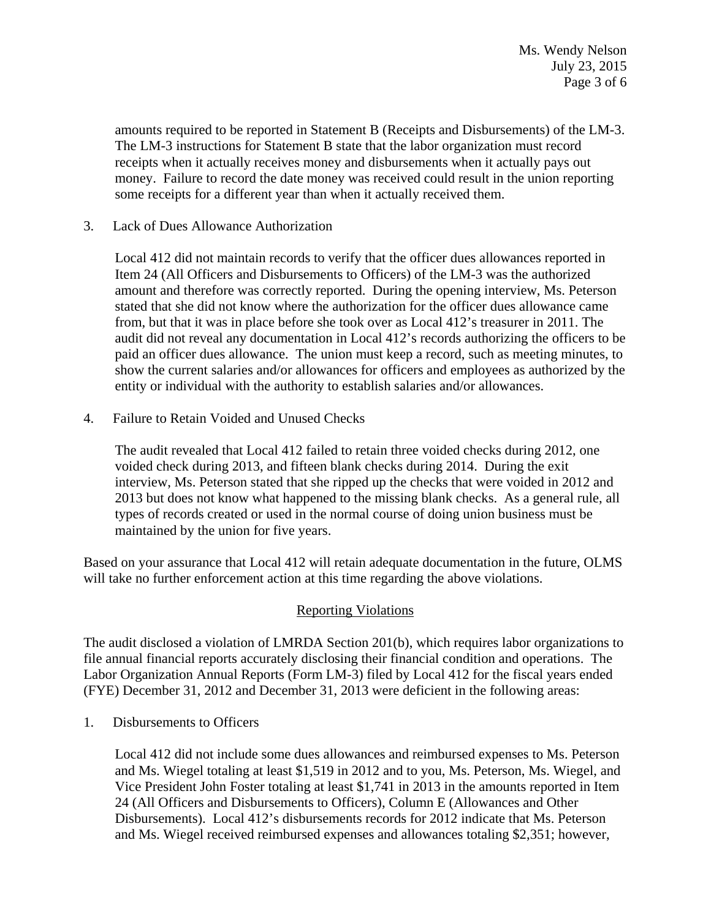Ms. Wendy Nelson July 23, 2015 Page 3 of 6

amounts required to be reported in Statement B (Receipts and Disbursements) of the LM-3. The LM-3 instructions for Statement B state that the labor organization must record receipts when it actually receives money and disbursements when it actually pays out money. Failure to record the date money was received could result in the union reporting some receipts for a different year than when it actually received them.

3. Lack of Dues Allowance Authorization

Local 412 did not maintain records to verify that the officer dues allowances reported in Item 24 (All Officers and Disbursements to Officers) of the LM-3 was the authorized amount and therefore was correctly reported. During the opening interview, Ms. Peterson stated that she did not know where the authorization for the officer dues allowance came from, but that it was in place before she took over as Local 412's treasurer in 2011. The audit did not reveal any documentation in Local 412's records authorizing the officers to be paid an officer dues allowance. The union must keep a record, such as meeting minutes, to show the current salaries and/or allowances for officers and employees as authorized by the entity or individual with the authority to establish salaries and/or allowances.

4. Failure to Retain Voided and Unused Checks

The audit revealed that Local 412 failed to retain three voided checks during 2012, one voided check during 2013, and fifteen blank checks during 2014. During the exit interview, Ms. Peterson stated that she ripped up the checks that were voided in 2012 and 2013 but does not know what happened to the missing blank checks. As a general rule, all types of records created or used in the normal course of doing union business must be maintained by the union for five years.

Based on your assurance that Local 412 will retain adequate documentation in the future, OLMS will take no further enforcement action at this time regarding the above violations.

# Reporting Violations

The audit disclosed a violation of LMRDA Section 201(b), which requires labor organizations to file annual financial reports accurately disclosing their financial condition and operations. The Labor Organization Annual Reports (Form LM-3) filed by Local 412 for the fiscal years ended (FYE) December 31, 2012 and December 31, 2013 were deficient in the following areas:

1. Disbursements to Officers

Local 412 did not include some dues allowances and reimbursed expenses to Ms. Peterson and Ms. Wiegel totaling at least \$1,519 in 2012 and to you, Ms. Peterson, Ms. Wiegel, and Vice President John Foster totaling at least \$1,741 in 2013 in the amounts reported in Item 24 (All Officers and Disbursements to Officers), Column E (Allowances and Other Disbursements). Local 412's disbursements records for 2012 indicate that Ms. Peterson and Ms. Wiegel received reimbursed expenses and allowances totaling \$2,351; however,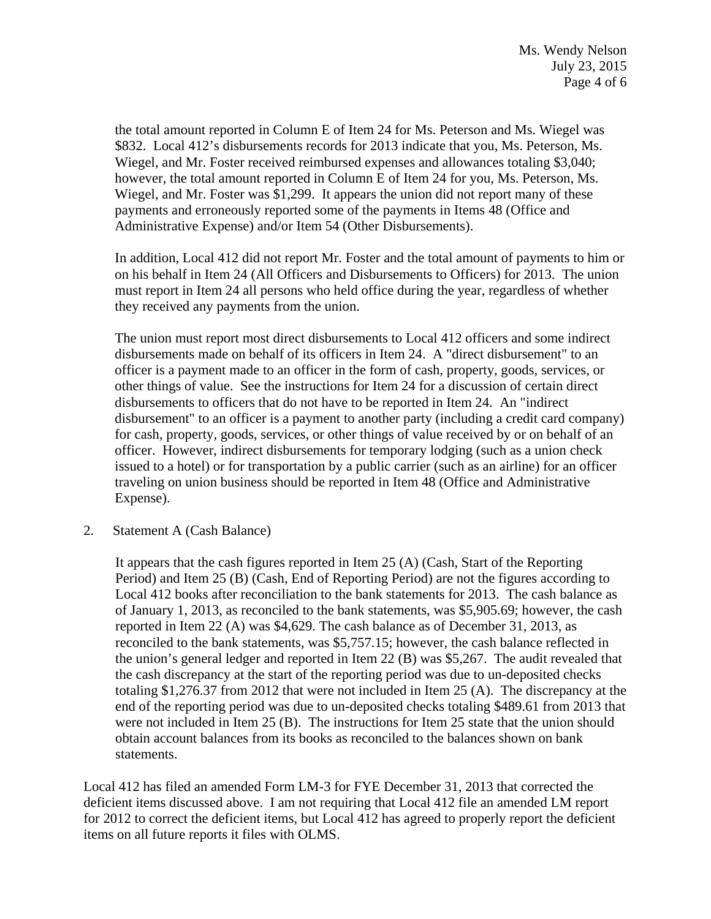the total amount reported in Column E of Item 24 for Ms. Peterson and Ms. Wiegel was \$832. Local 412's disbursements records for 2013 indicate that you, Ms. Peterson, Ms. Wiegel, and Mr. Foster received reimbursed expenses and allowances totaling \$3,040; however, the total amount reported in Column E of Item 24 for you, Ms. Peterson, Ms. Wiegel, and Mr. Foster was \$1,299. It appears the union did not report many of these payments and erroneously reported some of the payments in Items 48 (Office and Administrative Expense) and/or Item 54 (Other Disbursements).

In addition, Local 412 did not report Mr. Foster and the total amount of payments to him or on his behalf in Item 24 (All Officers and Disbursements to Officers) for 2013. The union must report in Item 24 all persons who held office during the year, regardless of whether they received any payments from the union.

The union must report most direct disbursements to Local 412 officers and some indirect disbursements made on behalf of its officers in Item 24. A "direct disbursement" to an officer is a payment made to an officer in the form of cash, property, goods, services, or other things of value. See the instructions for Item 24 for a discussion of certain direct disbursements to officers that do not have to be reported in Item 24. An "indirect disbursement" to an officer is a payment to another party (including a credit card company) for cash, property, goods, services, or other things of value received by or on behalf of an officer. However, indirect disbursements for temporary lodging (such as a union check issued to a hotel) or for transportation by a public carrier (such as an airline) for an officer traveling on union business should be reported in Item 48 (Office and Administrative Expense).

2. Statement A (Cash Balance)

It appears that the cash figures reported in Item 25 (A) (Cash, Start of the Reporting Period) and Item 25 (B) (Cash, End of Reporting Period) are not the figures according to Local 412 books after reconciliation to the bank statements for 2013. The cash balance as of January 1, 2013, as reconciled to the bank statements, was \$5,905.69; however, the cash reported in Item 22 (A) was \$4,629. The cash balance as of December 31, 2013, as reconciled to the bank statements, was \$5,757.15; however, the cash balance reflected in the union's general ledger and reported in Item 22 (B) was \$5,267. The audit revealed that the cash discrepancy at the start of the reporting period was due to un-deposited checks totaling \$1,276.37 from 2012 that were not included in Item 25 (A). The discrepancy at the end of the reporting period was due to un-deposited checks totaling \$489.61 from 2013 that were not included in Item 25 (B). The instructions for Item 25 state that the union should obtain account balances from its books as reconciled to the balances shown on bank statements.

Local 412 has filed an amended Form LM-3 for FYE December 31, 2013 that corrected the deficient items discussed above. I am not requiring that Local 412 file an amended LM report for 2012 to correct the deficient items, but Local 412 has agreed to properly report the deficient items on all future reports it files with OLMS.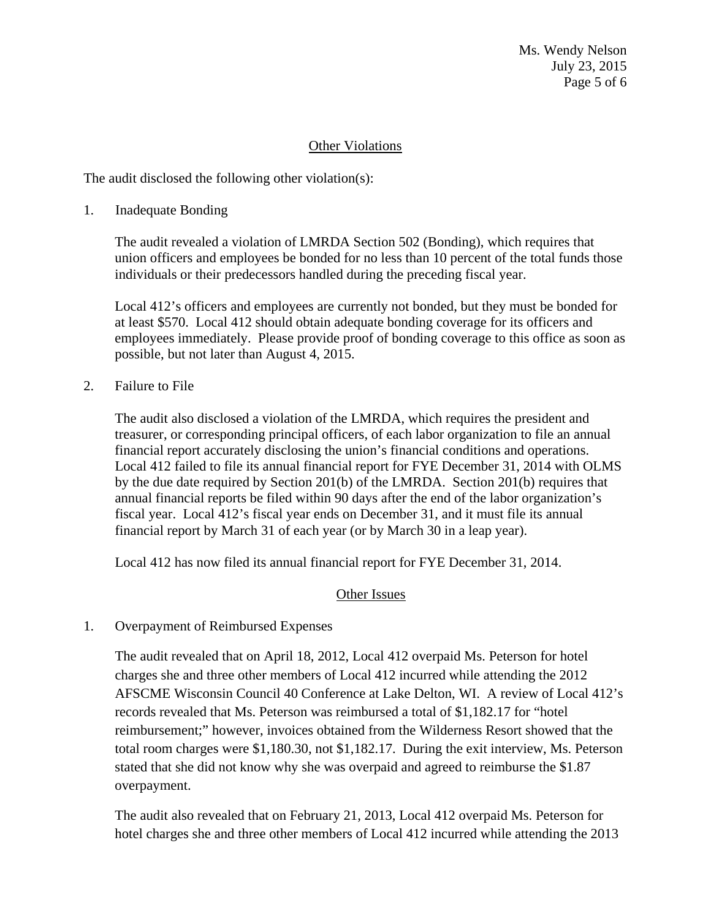Ms. Wendy Nelson July 23, 2015 Page 5 of 6

## Other Violations

The audit disclosed the following other violation(s):

1. Inadequate Bonding

The audit revealed a violation of LMRDA Section 502 (Bonding), which requires that union officers and employees be bonded for no less than 10 percent of the total funds those individuals or their predecessors handled during the preceding fiscal year.

Local 412's officers and employees are currently not bonded, but they must be bonded for at least \$570. Local 412 should obtain adequate bonding coverage for its officers and employees immediately. Please provide proof of bonding coverage to this office as soon as possible, but not later than August 4, 2015.

2. Failure to File

The audit also disclosed a violation of the LMRDA, which requires the president and treasurer, or corresponding principal officers, of each labor organization to file an annual financial report accurately disclosing the union's financial conditions and operations. Local 412 failed to file its annual financial report for FYE December 31, 2014 with OLMS by the due date required by Section 201(b) of the LMRDA. Section 201(b) requires that annual financial reports be filed within 90 days after the end of the labor organization's fiscal year. Local 412's fiscal year ends on December 31, and it must file its annual financial report by March 31 of each year (or by March 30 in a leap year).

Local 412 has now filed its annual financial report for FYE December 31, 2014.

## Other Issues

1. Overpayment of Reimbursed Expenses

The audit revealed that on April 18, 2012, Local 412 overpaid Ms. Peterson for hotel charges she and three other members of Local 412 incurred while attending the 2012 AFSCME Wisconsin Council 40 Conference at Lake Delton, WI. A review of Local 412's records revealed that Ms. Peterson was reimbursed a total of \$1,182.17 for "hotel reimbursement;" however, invoices obtained from the Wilderness Resort showed that the total room charges were \$1,180.30, not \$1,182.17. During the exit interview, Ms. Peterson stated that she did not know why she was overpaid and agreed to reimburse the \$1.87 overpayment.

The audit also revealed that on February 21, 2013, Local 412 overpaid Ms. Peterson for hotel charges she and three other members of Local 412 incurred while attending the 2013